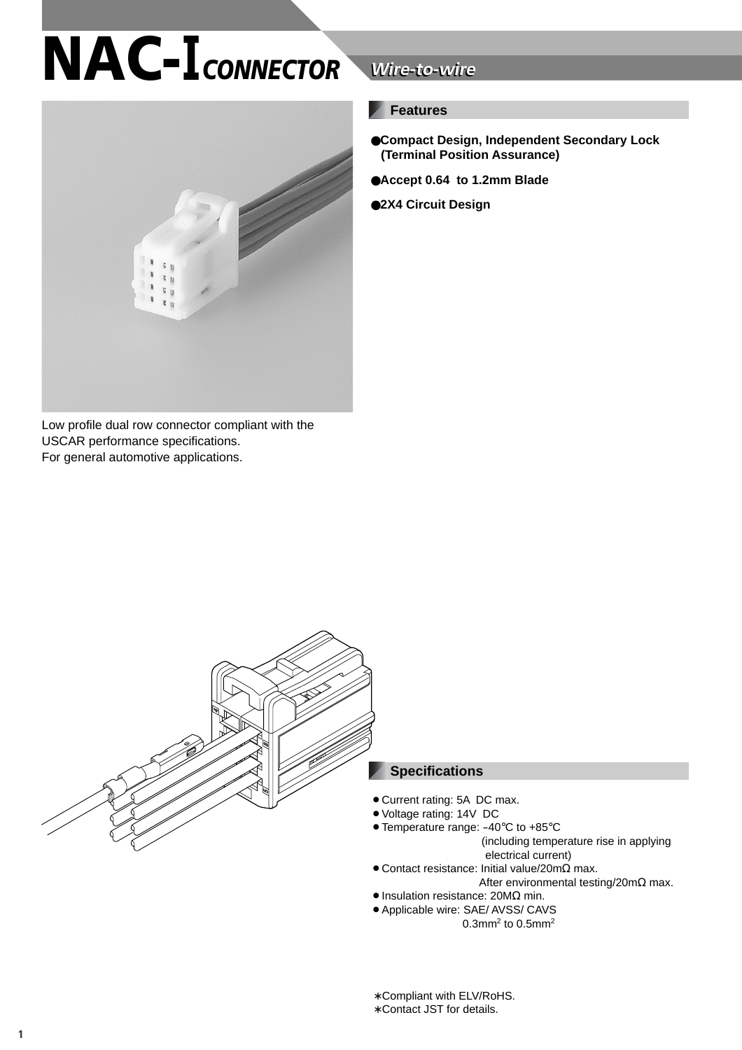# $NAC$ -**I**<sub>CONNECTOR</sub>



Low profile dual row connector compliant with the USCAR performance specifications. For general automotive applications.

## **Wire-to-wire**

#### **Features**

- ●**Compact Design, Independent Secondary Lock (Terminal Position Assurance)**
- ●**Accept 0.64 to 1.2mm Blade**
- ●**2X4 Circuit Design**



### **Specifications**

- Current rating: 5A DC max.
- Voltage rating: 14V DC
- Temperature range: -40°C to +85°C
	- (including temperature rise in applying electrical current)
- ¡Contact resistance: Initial value/20mΩ max.
	- After environmental testing/20mΩ max.
- Insulation resistance: 20MΩ min.
- Applicable wire: SAE/ AVSS/ CAVS  $0.3$ mm<sup>2</sup> to  $0.5$ mm<sup>2</sup>
- ∗ Compliant with ELV/RoHS.
- ∗ Contact JST for details.